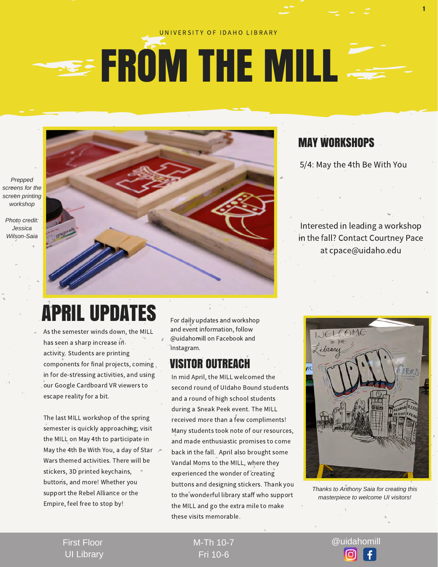#### UNIVERSITY OF IDAHO LIBRARY

## **EROM THE MILL**

*Prepped screens for the screen printing workshop* 

*Photo credit: Jessica Wilson-Saia* 



### MAY WORKSHOPS

5/4: May the 4th Be With You

1

Interested in leading a workshop in the fall? Contact Courtney Pace at cpace@uidaho.edu

## APRIL UPDATES

As the semester winds down, the MILL has seen a sharp increase in activity. Students are printing components for final projects, coming in for de-stressing activities, and using our Google Cardboard VR viewers to escape reality for a bit.

The last MILL workshop of the spring semester is quickly approaching; visit the MILL on May 4th to participate in May the 4th Be With You, a day of Star  $\angle$ Wars themed activities. There will be stickers, 3D printed keychains, buttons, and more! Whether you support the Rebel Alliance or the Empire, feel free to stop by!

For daily updates and workshop and event information, follow @uidahomill on Facebook and Instagram.

#### VISITOR OUTREACH

In mid April, the MILL welcomed the second round of UIdaho Bound students and a round of high school students during a Sneak Peek event. The MILL received more than a few compliments! Many students took note of our resources, and made enthusiastic promises to come back in the fall. April also brought some Vandal Moms to the MILL, where they experienced the wonder of creating buttons and designing stickers. Thank you to the wonderful library staff who support the MILL and go the extra mile to make these visits memorable.



*Thanks to Anthony Saia for creating this masterpiece to welcome UI visitors!*

First Floor UI Library Fri 10-6